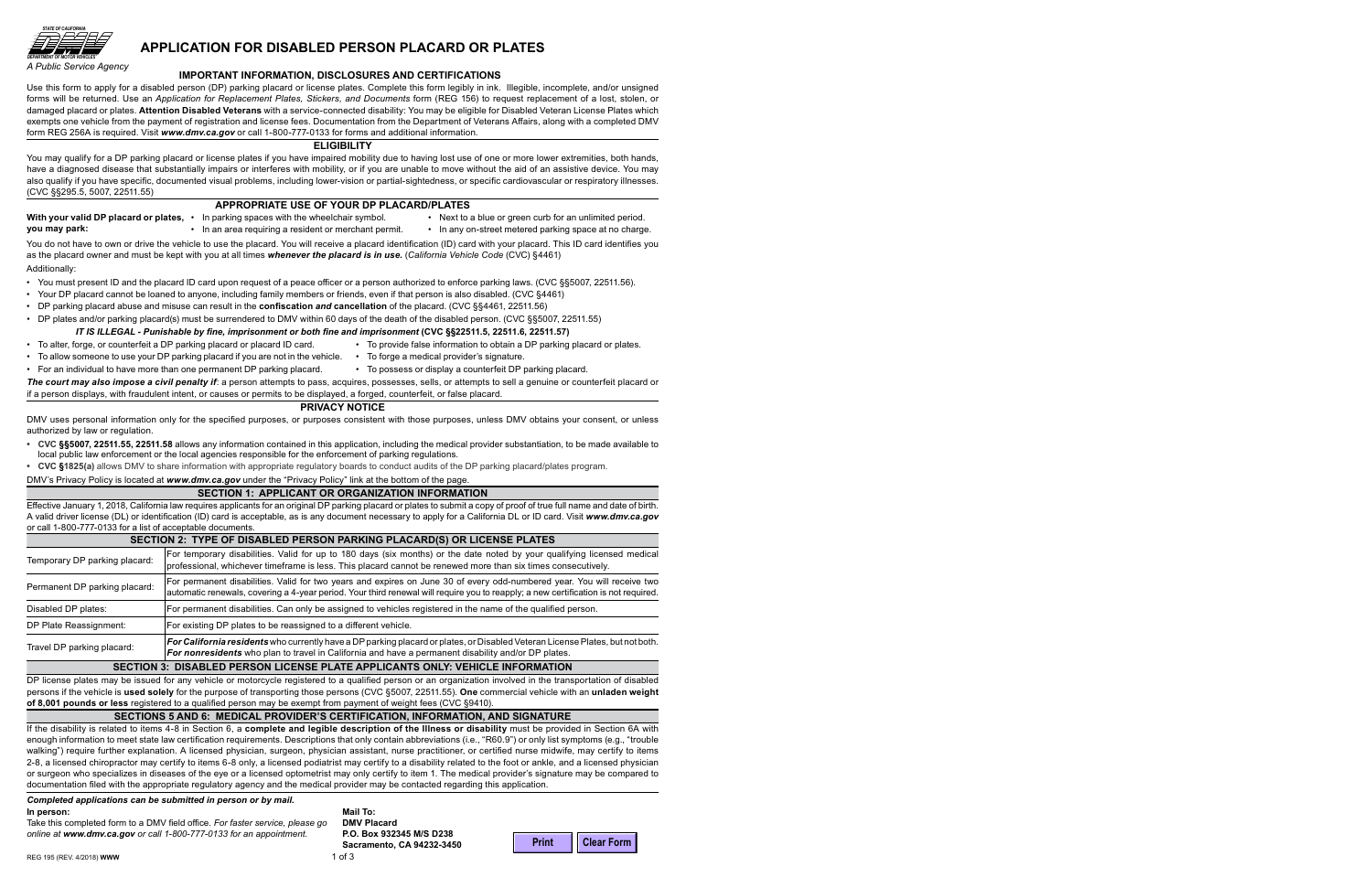

*A Public Service Agency*

# **APPLICATION FOR DISABLED PERSON PLACARD OR PLATES**

#### **IMPORTANT INFORMATION, DISCLOSURES AND CERTIFICATIONS**

Use this form to apply for a disabled person (DP) parking placard or license plates. Complete this form legibly in ink. Illegible, incomplete, and/or unsigned forms will be returned. Use an *Application for Replacement Plates, Stickers, and Documents* form (REG 156) to request replacement of a lost, stolen, or damaged placard or plates. **Attention Disabled Veterans** with a service-connected disability: You may be eligible for Disabled Veteran License Plates which exempts one vehicle from the payment of registration and license fees. Documentation from the Department of Veterans Affairs, along with a completed DMV form REG 256A is required. Visit *www.dmv.ca.gov* or call 1-800-777-0133 for forms and additional information.

#### **ELIGIBILITY**

You may qualify for a DP parking placard or license plates if you have impaired mobility due to having lost use of one or more lower extremities, both hands, have a diagnosed disease that substantially impairs or interferes with mobility, or if you are unable to move without the aid of an assistive device. You may also qualify if you have specific, documented visual problems, including lower-vision or partial-sightedness, or specific cardiovascular or respiratory illnesses. (CVC §§295.5, 5007, 22511.55)

## **APPROPRIATE USE OF YOUR DP PLACARD/PLATES**

|               | With your valid DP placard or plates, • In parking spaces with the wheelchair symbol. | Next to a blue or green curb for an unlimited period. |
|---------------|---------------------------------------------------------------------------------------|-------------------------------------------------------|
| you may park: | • In an area requiring a resident or merchant permit.                                 | In any on-street metered parking space at no charge.  |
|               |                                                                                       |                                                       |

You do not have to own or drive the vehicle to use the placard. You will receive a placard identification (ID) card with your placard. This ID card identifies you as the placard owner and must be kept with you at all times *whenever the placard is in use.* (*California Vehicle Code* (CVC) §4461) Additionally:

- You must present ID and the placard ID card upon request of a peace officer or a person authorized to enforce parking laws. (CVC §§5007, 22511.56).
- Your DP placard cannot be loaned to anyone, including family members or friends, even if that person is also disabled. (CVC §4461)
- DP parking placard abuse and misuse can result in the **confiscation** *and* **cancellation** of the placard. (CVC §§4461, 22511.56)
- DP plates and/or parking placard(s) must be surrendered to DMV within 60 days of the death of the disabled person. (CVC §§5007, 22511.55)

### *IT IS ILLEGAL - Punishable by fine, imprisonment or both fine and imprisonment* **(CVC §§22511.5, 22511.6, 22511.57)**

- To alter, forge, or counterfeit a DP parking placard or placard ID card.
- To allow someone to use your DP parking placard if you are not in the vehicle.
- For an individual to have more than one permanent DP parking placard.
- To forge a medical provider's signature. • To possess or display a counterfeit DP parking placard.

• To provide false information to obtain a DP parking placard or plates.

*The court may also impose a civil penalty if*: a person attempts to pass, acquires, possesses, sells, or attempts to sell a genuine or counterfeit placard or if a person displays, with fraudulent intent, or causes or permits to be displayed, a forged, counterfeit, or false placard.

### **PRIVACY NOTICE**

DMV uses personal information only for the specified purposes, or purposes consistent with those purposes, unless DMV obtains your consent, or unless authorized by law or regulation.

- **CVC §§5007, 22511.55, 22511.58** allows any information contained in this application, including the medical provider substantiation, to be made available to local public law enforcement or the local agencies responsible for the enforcement of parking regulations.
- **CVC §1825(a)** allows DMV to share information with appropriate regulatory boards to conduct audits of the DP parking placard/plates program.

DMV's Privacy Policy is located at *www.dmv.ca.gov* under the "Privacy Policy" link at the bottom of the page.

#### **SECTION 1: APPLICANT OR ORGANIZATION INFORMATION**

Effective January 1, 2018, California law requires applicants for an original DP parking placard or plates to submit a copy of proof of true full name and date of birth. A valid driver license (DL) or identification (ID) card is acceptable, as is any document necessary to apply for a California DL or ID card. Visit *www.dmv.ca.gov* or call 1-800-777-0133 for a list of acceptable documents.

| SECTION 2: TYPE OF DISABLED PERSON PARKING PLACARD(S) OR LICENSE PLATES       |                                                                                                                                                                                                                                                               |  |  |  |  |
|-------------------------------------------------------------------------------|---------------------------------------------------------------------------------------------------------------------------------------------------------------------------------------------------------------------------------------------------------------|--|--|--|--|
| Temporary DP parking placard:                                                 | For temporary disabilities. Valid for up to 180 days (six months) or the date noted by your qualifying licensed medical<br>professional, whichever timeframe is less. This placard cannot be renewed more than six times consecutively.                       |  |  |  |  |
| Permanent DP parking placard:                                                 | For permanent disabilities. Valid for two years and expires on June 30 of every odd-numbered year. You will receive two<br>automatic renewals, covering a 4-year period. Your third renewal will require you to reapply; a new certification is not required. |  |  |  |  |
| Disabled DP plates:                                                           | For permanent disabilities. Can only be assigned to vehicles registered in the name of the qualified person.                                                                                                                                                  |  |  |  |  |
| DP Plate Reassignment:                                                        | For existing DP plates to be reassigned to a different vehicle.                                                                                                                                                                                               |  |  |  |  |
| Travel DP parking placard:                                                    | For California residents who currently have a DP parking placard or plates, or Disabled Veteran License Plates, but not both.<br>For nonresidents who plan to travel in California and have a permanent disability and/or DP plates.                          |  |  |  |  |
| SECTION 3: DISABLED PERSON LICENSE PLATE APPLICANTS ONLY: VEHICLE INFORMATION |                                                                                                                                                                                                                                                               |  |  |  |  |

DP license plates may be issued for any vehicle or motorcycle registered to a qualified person or an organization involved in the transportation of disabled persons if the vehicle is **used solely** for the purpose of transporting those persons (CVC §5007, 22511.55). **One** commercial vehicle with an **unladen weight of 8,001 pounds or less** registered to a qualified person may be exempt from payment of weight fees (CVC §9410).

### **SECTIONS 5 AND 6: MEDICAL PROVIDER'S CERTIFICATION, INFORMATION, AND SIGNATURE**

If the disability is related to items 4-8 in Section 6, a **complete and legible description of the Illness or disability** must be provided in Section 6A with enough information to meet state law certification requirements. Descriptions that only contain abbreviations (i.e., "R60.9") or only list symptoms (e.g., "trouble walking") require further explanation. A licensed physician, surgeon, physician assistant, nurse practitioner, or certified nurse midwife, may certify to items 2-8, a licensed chiropractor may certify to items 6-8 only, a licensed podiatrist may certify to a disability related to the foot or ankle, and a licensed physician or surgeon who specializes in diseases of the eye or a licensed optometrist may only certify to item 1. The medical provider's signature may be compared to documentation filed with the appropriate regulatory agency and the medical provider may be contacted regarding this application.

#### *Completed applications can be submitted in person or by mail.*

#### **In person:**

Take this completed form to a DMV field office. *For faster service, please go online at www.dmv.ca.gov or call 1-800-777-0133 for an appointment.*

**Mail To: DMV Placard P.O. Box 932345 M/S D238 Sacramento, CA 94232-3450**

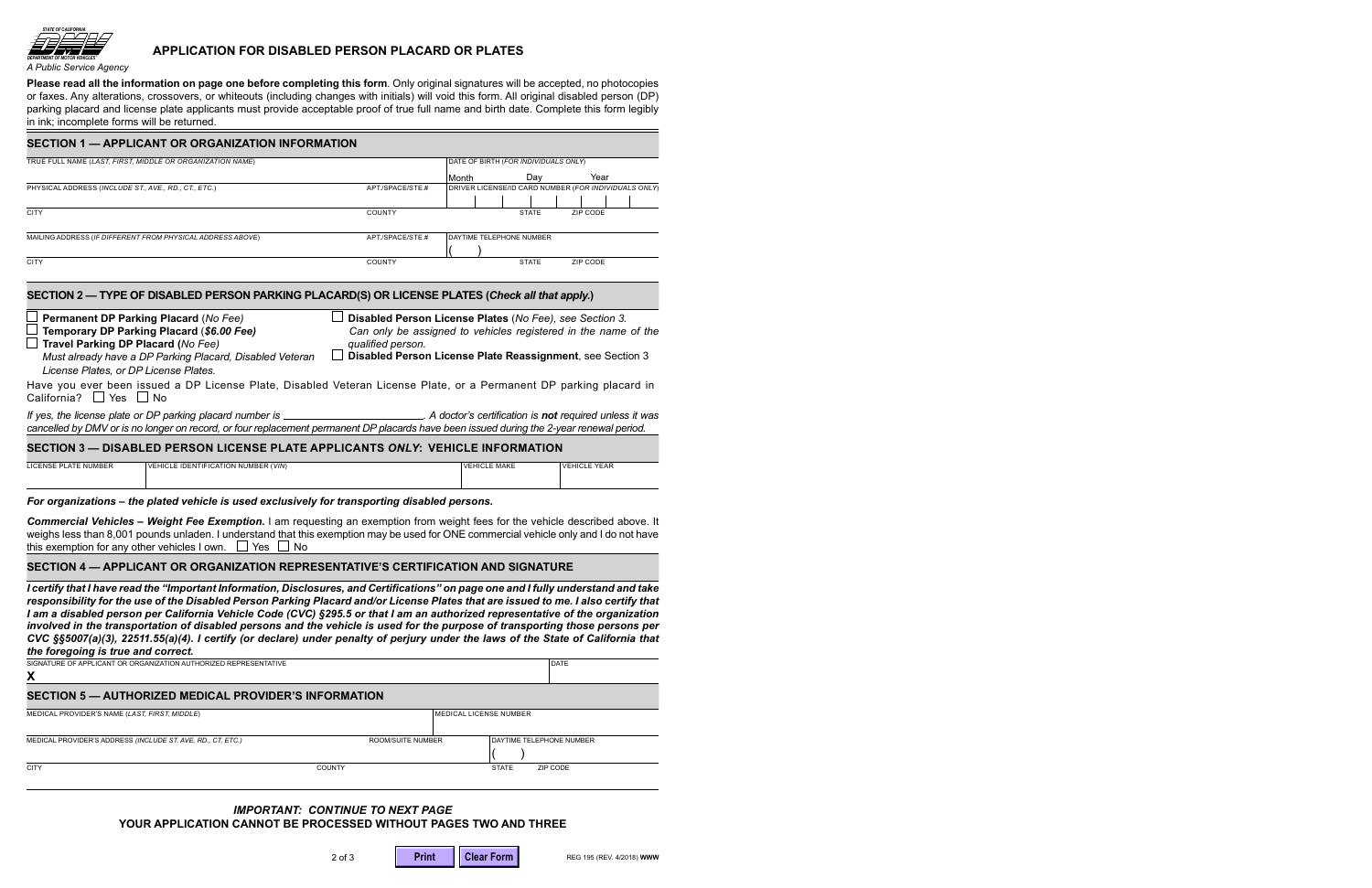

*A Public Service Agency*

# **APPLICATION FOR DISABLED PERSON PLACARD OR PLATES**

**Please read all the information on page one before completing this form**. Only original signatures will be accepted, no photocopies or faxes. Any alterations, crossovers, or whiteouts (including changes with initials) will void this form. All original disabled person (DP) parking placard and license plate applicants must provide acceptable proof of true full name and birth date. Complete this form legibly in ink; incomplete forms will be returned.

| TRUE FULL NAME (LAST, FIRST, MIDDLE OR ORGANIZATION NAME)                                                                                                                                                                                                                                                                                                                                                                                                                                                                             |                                                                                     | DATE OF BIRTH (FOR INDIVIDUALS ONLY) |                          |                                                      |  |  |
|---------------------------------------------------------------------------------------------------------------------------------------------------------------------------------------------------------------------------------------------------------------------------------------------------------------------------------------------------------------------------------------------------------------------------------------------------------------------------------------------------------------------------------------|-------------------------------------------------------------------------------------|--------------------------------------|--------------------------|------------------------------------------------------|--|--|
|                                                                                                                                                                                                                                                                                                                                                                                                                                                                                                                                       |                                                                                     | Month                                | Day                      | Year                                                 |  |  |
| PHYSICAL ADDRESS (INCLUDE ST., AVE., RD., CT., ETC.)                                                                                                                                                                                                                                                                                                                                                                                                                                                                                  | APT./SPACE/STE.#                                                                    |                                      |                          | DRIVER LICENSE/ID CARD NUMBER (FOR INDIVIDUALS ONLY) |  |  |
| <b>CITY</b>                                                                                                                                                                                                                                                                                                                                                                                                                                                                                                                           | COUNTY                                                                              |                                      | <b>STATE</b>             | ZIP CODE                                             |  |  |
| MAILING ADDRESS (IF DIFFERENT FROM PHYSICAL ADDRESS ABOVE)                                                                                                                                                                                                                                                                                                                                                                                                                                                                            | APT./SPACE/STE.#                                                                    |                                      | DAYTIME TELEPHONE NUMBER |                                                      |  |  |
| <b>CITY</b>                                                                                                                                                                                                                                                                                                                                                                                                                                                                                                                           | <b>COUNTY</b>                                                                       |                                      | <b>STATE</b>             | ZIP CODE                                             |  |  |
| <b>Permanent DP Parking Placard (No Fee)</b>                                                                                                                                                                                                                                                                                                                                                                                                                                                                                          | Disabled Person License Plates (No Fee), see Section 3.                             |                                      |                          |                                                      |  |  |
| Temporary DP Parking Placard (\$6.00 Fee)                                                                                                                                                                                                                                                                                                                                                                                                                                                                                             | Can only be assigned to vehicles registered in the name of the<br>qualified person. |                                      |                          |                                                      |  |  |
| Must already have a DP Parking Placard, Disabled Veteran<br>License Plates, or DP License Plates.                                                                                                                                                                                                                                                                                                                                                                                                                                     | Disabled Person License Plate Reassignment, see Section 3                           |                                      |                          |                                                      |  |  |
|                                                                                                                                                                                                                                                                                                                                                                                                                                                                                                                                       |                                                                                     |                                      |                          |                                                      |  |  |
|                                                                                                                                                                                                                                                                                                                                                                                                                                                                                                                                       |                                                                                     |                                      |                          |                                                      |  |  |
| SECTION 2 - TYPE OF DISABLED PERSON PARKING PLACARD(S) OR LICENSE PLATES (Check all that apply.)<br>$\Box$ Travel Parking DP Placard (No Fee)<br>Have you ever been issued a DP License Plate, Disabled Veteran License Plate, or a Permanent DP parking placard in<br>California? $\Box$ Yes $\Box$ No<br>cancelled by DMV or is no longer on record, or four replacement permanent DP placards have been issued during the 2-year renewal period.<br>SECTION 3 - DISABLED PERSON LICENSE PLATE APPLICANTS ONLY: VEHICLE INFORMATION |                                                                                     |                                      |                          |                                                      |  |  |

#### *For organizations – the plated vehicle is used exclusively for transporting disabled persons.*

**Commercial Vehicles – Weight Fee Exemption.** I am requesting an exemption from weight fees for the vehicle described above. It weighs less than 8,001 pounds unladen. I understand that this exemption may be used for ONE commercial vehicle only and I do not have this exemption for any other vehicles I own.  $\Box$  Yes  $\Box$  No

# **SECTION 4 — APPLICANT OR ORGANIZATION REPRESENTATIVE'S CERTIFICATION AND SIGNATURE**

*I certify that I have read the "Important Information, Disclosures, and Certifications" on page one and I fully understand and take responsibility for the use of the Disabled Person Parking Placard and/or License Plates that are issued to me. I also certify that I am a disabled person per California Vehicle Code (CVC) §295.5 or that I am an authorized representative of the organization involved in the transportation of disabled persons and the vehicle is used for the purpose of transporting those persons per CVC §§5007(a)(3), 22511.55(a)(4). I certify (or declare) under penalty of perjury under the laws of the State of California that the foregoing is true and correct.*

| SIGNATURE OF APPLICANT OR ORGANIZATION AUTHORIZED REPRESENTATIVE<br>X |                          |                                 | DATE     |  |  |  |
|-----------------------------------------------------------------------|--------------------------|---------------------------------|----------|--|--|--|
| SECTION 5 - AUTHORIZED MEDICAL PROVIDER'S INFORMATION                 |                          |                                 |          |  |  |  |
| MEDICAL PROVIDER'S NAME (LAST, FIRST, MIDDLE)                         |                          | <b>IMEDICAL LICENSE NUMBER</b>  |          |  |  |  |
| MEDICAL PROVIDER'S ADDRESS (INCLUDE ST. AVE, RD., CT, ETC.)           | <b>ROOM/SUITE NUMBER</b> | <b>DAYTIME TELEPHONE NUMBER</b> |          |  |  |  |
| <b>CITY</b>                                                           | <b>COUNTY</b>            | <b>STATE</b>                    | ZIP CODE |  |  |  |

## *IMPORTANT: CONTINUE TO NEXT PAGE*  **YOUR APPLICATION CANNOT BE PROCESSED WITHOUT PAGES TWO AND THREE**